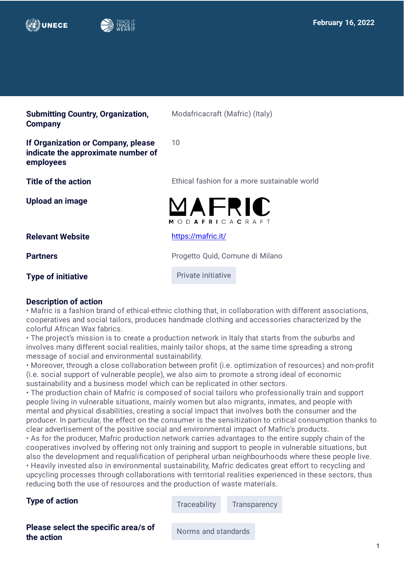



| <b>Submitting Country, Organization,</b><br><b>Company</b>                            | Modafricacraft (Mafric) (Italy)              |
|---------------------------------------------------------------------------------------|----------------------------------------------|
| If Organization or Company, please<br>indicate the approximate number of<br>employees | 10                                           |
| Title of the action                                                                   | Ethical fashion for a more sustainable world |
| Upload an image                                                                       | MAFRIC<br><b>MODAFRICACRAFT</b>              |
| <b>Relevant Website</b>                                                               | https://mafric.it/                           |
| <b>Partners</b>                                                                       | Progetto Quid, Comune di Milano              |
| <b>Type of initiative</b>                                                             | Private initiative                           |

#### **Description of action**

• Mafric is a fashion brand of ethical-ethnic clothing that, in collaboration with different associations, cooperatives and social tailors, produces handmade clothing and accessories characterized by the colorful African Wax fabrics.

• The project's mission is to create a production network in Italy that starts from the suburbs and involves many different social realities, mainly tailor shops, at the same time spreading a strong message of social and environmental sustainability.

• Moreover, through a close collaboration between profit (i.e. optimization of resources) and non-profit (i.e. social support of vulnerable people), we also aim to promote a strong ideal of economic sustainability and a business model which can be replicated in other sectors.

• The production chain of Mafric is composed of social tailors who professionally train and support people living in vulnerable situations, mainly women but also migrants, inmates, and people with mental and physical disabilities, creating a social impact that involves both the consumer and the producer. In particular, the effect on the consumer is the sensitization to critical consumption thanks to clear advertisement of the positive social and environmental impact of Mafric's products.

• As for the producer, Mafric production network carries advantages to the entire supply chain of the cooperatives involved by offering not only training and support to people in vulnerable situations, but also the development and requalification of peripheral urban neighbourhoods where these people live. • Heavily invested also in environmental sustainability, Mafric dedicates great effort to recycling and upcycling processes through collaborations with territorial realities experienced in these sectors, thus reducing both the use of resources and the production of waste materials.

**Type of action** Traceability Transparency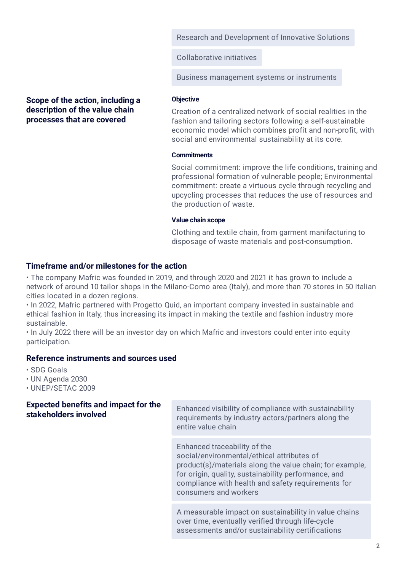Research and Development of Innovative Solutions

Collaborative initiatives

Business management systems or instruments

# **Scope of the action, including a description of the value chain processes that are covered**

#### **Objective**

Creation of a centralized network of social realities in the fashion and tailoring sectors following a self-sustainable economic model which combines profit and non-profit, with social and environmental sustainability at its core.

#### **Commitments**

Social commitment: improve the life conditions, training and professional formation of vulnerable people; Environmental commitment: create a virtuous cycle through recycling and upcycling processes that reduces the use of resources and the production of waste.

#### **Value chain scope**

Clothing and textile chain, from garment manifacturing to disposage of waste materials and post-consumption.

# **Timeframe and/or milestones for the action**

• The company Mafric was founded in 2019, and through 2020 and 2021 it has grown to include a network of around 10 tailor shops in the Milano-Como area (Italy), and more than 70 stores in 50 Italian cities located in a dozen regions.

• In 2022, Mafric partnered with Progetto Quid, an important company invested in sustainable and ethical fashion in Italy, thus increasing its impact in making the textile and fashion industry more sustainable.

• In July 2022 there will be an investor day on which Mafric and investors could enter into equity participation.

# **Reference instruments and sources used**

- SDG Goals
- UN Agenda 2030
- UNEP/SETAC 2009

# **Expected benefits and impact for the**

**Expected beliefs and impact for the**<br>**Enhanced visibility of compliance with sustainability**<br>**stakeholders involved** requirements by industry actors/partners along the entire value chain

> Enhanced traceability of the social/environmental/ethical attributes of product(s)/materials along the value chain; for example, for origin, quality, sustainability performance, and compliance with health and safety requirements for consumers and workers

A measurable impact on sustainability in value chains over time, eventually verified through life-cycle assessments and/or sustainability certifications